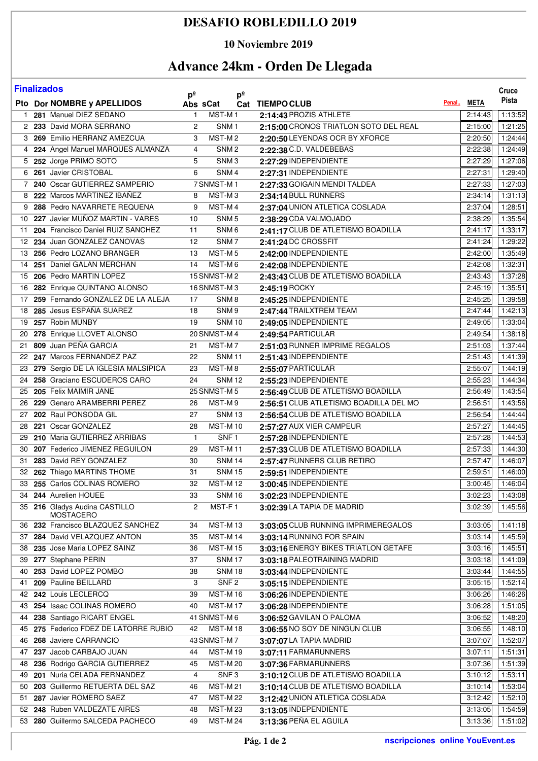## **DESAFIO ROBLEDILLO 2019**

### **10 Noviembre 2019**

# **Advance 24km - Orden De Llegada**

|              | <b>Finalizados</b>                    | $p^{\circ}$     |                    | $p^{\circ}$ |                                        |            | Cruce   |
|--------------|---------------------------------------|-----------------|--------------------|-------------|----------------------------------------|------------|---------|
|              | Pto Dor NOMBRE y APELLIDOS            | Abs sCat        |                    |             | Cat TIEMPOCLUB                         | Penal META | Pista   |
| $\mathbf{1}$ | 281 Manuel DIEZ SEDANO                | $\mathbf{1}$    | MST-M1             |             | 2:14:43 PROZIS ATHLETE                 | 2:14:43    | 1:13:52 |
|              | 2 233 David MORA SERRANO              | $\overline{2}$  | SNM <sub>1</sub>   |             | 2:15:00 CRONOS TRIATLON SOTO DEL REAL  | 2:15:00    | 1:21:25 |
|              | 3 269 Emilio HERRANZ AMEZCUA          | 3               | MST-M2             |             | 2:20:50 LEYENDAS OCR BY XFORCE         | 2:20:50    | 1:24:44 |
|              | 4 224 Angel Manuel MARQUES ALMANZA    | 4               | SNM <sub>2</sub>   |             | 2:22:38 C.D. VALDEBEBAS                | 2:22:38    | 1:24:49 |
|              | 5 252 Jorge PRIMO SOTO                | 5               | SNM <sub>3</sub>   |             | 2:27:29 INDEPENDIENTE                  | 2:27:29    | 1:27:06 |
|              | 6 261 Javier CRISTOBAL                | 6               | SNM <sub>4</sub>   |             | 2:27:31 INDEPENDIENTE                  | 2:27:31    | 1:29:40 |
|              | 7 240 Oscar GUTIERREZ SAMPERIO        |                 | 7 SNMST-M1         |             | 2:27:33 GOIGAIN MENDI TALDEA           | 2:27:33    | 1:27:03 |
|              | 8 222 Marcos MARTINEZ IBAÑEZ          | 8               | MST-M <sub>3</sub> |             | 2:34:14 BULL RUNNERS                   | 2:34:14    | 1:31:13 |
|              | 9 288 Pedro NAVARRETE REQUENA         | 9               | MST-M4             |             | 2:37:04 UNION ATLETICA COSLADA         | 2:37:04    | 1:28:51 |
|              | 10 227 Javier MUÑOZ MARTIN - VARES    | 10              | SNM <sub>5</sub>   |             | 2:38:29 CDA VALMOJADO                  | 2:38:29    | 1:35:54 |
|              | 11 204 Francisco Daniel RUIZ SANCHEZ  | 11              | SNM <sub>6</sub>   |             | 2:41:17 CLUB DE ATLETISMO BOADILLA     | 2:41:17    | 1:33:17 |
|              | 12 234 Juan GONZALEZ CANOVAS          | 12              | SNM7               |             | 2:41:24 DC CROSSFIT                    | 2:41:24    | 1:29:22 |
|              | 13 256 Pedro LOZANO BRANGER           | 13              | MST-M <sub>5</sub> |             | 2:42:00 INDEPENDIENTE                  | 2:42:00    | 1:35:49 |
|              | 14 251 Daniel GALAN MERCHAN           | 14              | MST-M6             |             | 2:42:08 INDEPENDIENTE                  | 2:42:08    | 1:32:31 |
|              | 15 206 Pedro MARTIN LOPEZ             |                 | 15 SNMST-M2        |             | 2:43:43 CLUB DE ATLETISMO BOADILLA     | 2:43:43    | 1:37:28 |
|              | 16 282 Enrique QUINTANO ALONSO        |                 | 16 SNMST-M3        |             | 2:45:19 ROCKY                          | 2:45:19    | 1:35:51 |
|              | 17 259 Fernando GONZALEZ DE LA ALEJA  | 17              | SNM <sub>8</sub>   |             | 2:45:25 INDEPENDIENTE                  | 2:45:25    | 1:39:58 |
|              | 18 285 Jesus ESPAÑA SUAREZ            | 18              | SNM <sub>9</sub>   |             | 2:47:44 TRAILXTREM TEAM                | 2:47:44    | 1:42:13 |
|              | 19 257 Robin MUNBY                    | 19              | <b>SNM10</b>       |             | 2:49:05 INDEPENDIENTE                  | 2:49:05    | 1:33:04 |
| 20           | 278 Enrique LLOVET ALONSO             |                 | 20 SNMST-M 4       |             | 2:49:54 PARTICULAR                     | 2:49:54    | 1:38:18 |
| 21           | 809 Juan PEÑA GARCIA                  | 21              | MST-M7             |             | 2:51:03 RUNNER IMPRIME REGALOS         | 2:51:03    | 1:37:44 |
|              | 22 247 Marcos FERNANDEZ PAZ           | 22              | <b>SNM11</b>       |             | 2:51:43 INDEPENDIENTE                  | 2:51:43    | 1:41:39 |
|              | 23 279 Sergio DE LA IGLESIA MALSIPICA | 23              | MST-M8             |             | 2:55:07 PARTICULAR                     | 2:55:07    | 1:44:19 |
|              | 24 258 Graciano ESCUDEROS CARO        | $\overline{24}$ | <b>SNM12</b>       |             | 2:55:23 INDEPENDIENTE                  | 2:55:23    | 1:44:34 |
|              | 25 205 Felix MAIMIR JANE              |                 | 25 SNMST-M 5       |             | 2:56:49 CLUB DE ATLETISMO BOADILLA     | 2:56:49    | 1:43:54 |
| 26           | 229 Genaro ARAMBERRI PEREZ            | 26              | MST-M9             |             | 2:56:51 CLUB ATLETISMO BOADILLA DEL MO | 2:56:51    | 1:43:56 |
|              | 27 202 Raul PONSODA GIL               | 27              | <b>SNM13</b>       |             | 2:56:54 CLUB DE ATLETISMO BOADILLA     | 2:56:54    | 1:44:44 |
| 28           | 221 Oscar GONZALEZ                    | 28              | <b>MST-M10</b>     |             | 2:57:27 AUX VIER CAMPEUR               | 2:57:27    | 1:44:45 |
| 29           | 210 Maria GUTIERREZ ARRIBAS           | $\mathbf{1}$    | SNF1               |             | 2:57:28 INDEPENDIENTE                  | 2:57:28    | 1:44:53 |
|              | 30 207 Federico JIMENEZ REGUILON      | 29              | <b>MST-M11</b>     |             | 2:57:33 CLUB DE ATLETISMO BOADILLA     | 2:57:33    | 1:44:30 |
|              | 31 283 David REY GONZALEZ             | 30              | <b>SNM 14</b>      |             | 2:57:47 RUNNERS CLUB RETIRO            | 2:57:47    | 1:46:07 |
|              | 32 262 Thiago MARTINS THOME           | 31              | <b>SNM 15</b>      |             | 2:59:51 INDEPENDIENTE                  | 2:59:51    | 1:46:00 |
|              | 33 255 Carlos COLINAS ROMERO          | 32              | <b>MST-M12</b>     |             | 3:00:45 INDEPENDIENTE                  | 3:00:45    | 1:46:04 |
|              | 34 244 Aurelien HOUEE                 | 33              | <b>SNM16</b>       |             | 3:02:23 INDEPENDIENTE                  | 3:02:23    | 1:43:08 |
|              | 35 216 Gladys Audina CASTILLO         | 2               | MST-F1             |             | 3:02:39 LA TAPIA DE MADRID             | 3:02:39    | 1:45:56 |
|              | <b>MOSTACERO</b>                      |                 |                    |             |                                        |            |         |
|              | 36 232 Francisco BLAZQUEZ SANCHEZ     | 34              | <b>MST-M13</b>     |             | 3:03:05 CLUB RUNNING IMPRIMEREGALOS    | 3:03:05    | 1:41:18 |
|              | 37 284 David VELAZQUEZ ANTON          | 35              | <b>MST-M14</b>     |             | 3:03:14 RUNNING FOR SPAIN              | 3:03:14    | 1:45:59 |
|              | 38 235 Jose Maria LOPEZ SAINZ         | 36              | <b>MST-M15</b>     |             | 3:03:16 ENERGY BIKES TRIATLON GETAFE   | 3:03:16    | 1:45:51 |
| 39           | 277 Stephane PERIN                    | 37              | <b>SNM 17</b>      |             | 3:03:18 PALEOTRAINING MADRID           | 3:03:18    | 1:41:09 |
| 40           | 253 David LOPEZ POMBO                 | 38              | <b>SNM 18</b>      |             | 3:03:44 INDEPENDIENTE                  | 3:03:44    | 1:44:55 |
| 41           | 209 Pauline BEILLARD                  | 3               | SNF <sub>2</sub>   |             | 3:05:15 INDEPENDIENTE                  | 3:05:15    | 1:52:14 |
|              | 42 242 Louis LECLERCQ                 | 39              | <b>MST-M16</b>     |             | 3:06:26 INDEPENDIENTE                  | 3:06:26    | 1:46:26 |
|              | 43 254 Isaac COLINAS ROMERO           | 40              | <b>MST-M17</b>     |             | 3:06:28 INDEPENDIENTE                  | 3:06:28    | 1:51:05 |
|              | 44 238 Santiago RICART ENGEL          |                 | 41 SNMST-M6        |             | 3:06:52 GAVILAN O PALOMA               | 3:06:52    | 1:48:20 |
|              | 45 275 Federico FDEZ DE LATORRE RUBIO | 42              | <b>MST-M18</b>     |             | 3:06:55 NO SOY DE NINGUN CLUB          | 3:06:55    | 1:48:10 |
|              | 46 268 Javiere CARRANCIO              |                 | 43 SNMST-M7        |             | 3:07:07 LA TAPIA MADRID                | 3:07:07    | 1:52:07 |
|              | 47 237 Jacob CARBAJO JUAN             | 44              | MST-M19            |             | 3:07:11 FARMARUNNERS                   | 3:07:11    | 1:51:31 |
|              | 48 236 Rodrigo GARCIA GUTIERREZ       | 45              | <b>MST-M20</b>     |             | 3:07:36 FARMARUNNERS                   | 3:07:36    | 1:51:39 |
| 49           | 201 Nuria CELADA FERNANDEZ            | $\overline{4}$  | SNF <sub>3</sub>   |             | 3:10:12 CLUB DE ATLETISMO BOADILLA     | 3:10:12    | 1:53:11 |
| 50           | 203 Guillermo RETUERTA DEL SAZ        | 46              | <b>MST-M21</b>     |             | 3:10:14 CLUB DE ATLETISMO BOADILLA     | 3:10:14    | 1:53:04 |
| 51           | 287 Javier ROMERO SAEZ                | 47              | <b>MST-M22</b>     |             | 3:12:42 UNION ATLETICA COSLADA         | 3:12:42    | 1:52:10 |
|              | 52 248 Ruben VALDEZATE AIRES          | 48              | <b>MST-M23</b>     |             | 3:13:05 INDEPENDIENTE                  | 3:13:05    | 1:54:59 |
|              | 53 280 Guillermo SALCEDA PACHECO      | 49              | <b>MST-M24</b>     |             | 3:13:36 PEÑA EL AGUILA                 | 3:13:36    | 1:51:02 |